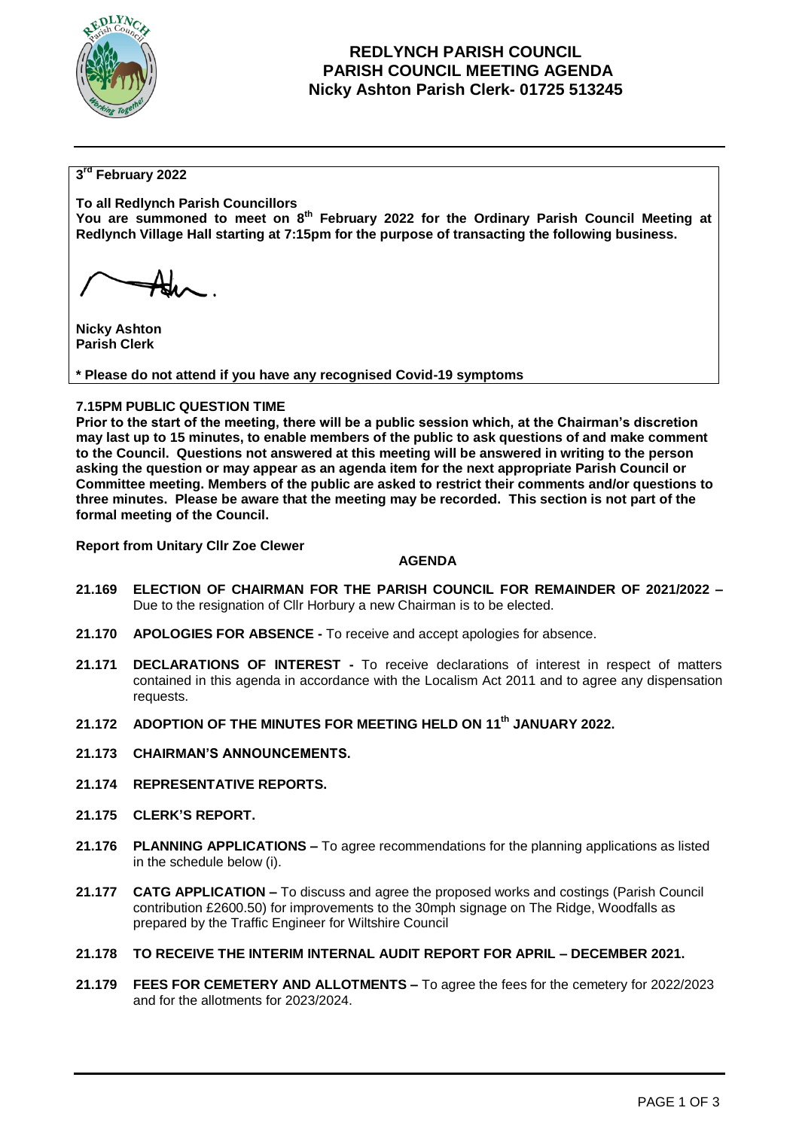

# **REDLYNCH PARISH COUNCIL PARISH COUNCIL MEETING AGENDA Nicky Ashton Parish Clerk- 01725 513245**

## **3 rd February 2022**

**To all Redlynch Parish Councillors You are summoned to meet on 8 th February 2022 for the Ordinary Parish Council Meeting at Redlynch Village Hall starting at 7:15pm for the purpose of transacting the following business.**

**Nicky Ashton Parish Clerk** 

**\* Please do not attend if you have any recognised Covid-19 symptoms**

### **7.15PM PUBLIC QUESTION TIME**

**Prior to the start of the meeting, there will be a public session which, at the Chairman's discretion may last up to 15 minutes, to enable members of the public to ask questions of and make comment to the Council. Questions not answered at this meeting will be answered in writing to the person asking the question or may appear as an agenda item for the next appropriate Parish Council or Committee meeting. Members of the public are asked to restrict their comments and/or questions to three minutes. Please be aware that the meeting may be recorded. This section is not part of the formal meeting of the Council.** 

**Report from Unitary Cllr Zoe Clewer**

### **AGENDA**

- **21.169 ELECTION OF CHAIRMAN FOR THE PARISH COUNCIL FOR REMAINDER OF 2021/2022 –** Due to the resignation of Cllr Horbury a new Chairman is to be elected.
- **21.170 APOLOGIES FOR ABSENCE -** To receive and accept apologies for absence.
- **21.171 DECLARATIONS OF INTEREST -** To receive declarations of interest in respect of matters contained in this agenda in accordance with the Localism Act 2011 and to agree any dispensation requests.
- **21.172 ADOPTION OF THE MINUTES FOR MEETING HELD ON 11 th JANUARY 2022.**
- **21.173 CHAIRMAN'S ANNOUNCEMENTS.**
- **21.174 REPRESENTATIVE REPORTS.**
- **21.175 CLERK'S REPORT.**
- **21.176 PLANNING APPLICATIONS –** To agree recommendations for the planning applications as listed in the schedule below (i).
- **21.177 CATG APPLICATION –** To discuss and agree the proposed works and costings (Parish Council contribution £2600.50) for improvements to the 30mph signage on The Ridge, Woodfalls as prepared by the Traffic Engineer for Wiltshire Council
- **21.178 TO RECEIVE THE INTERIM INTERNAL AUDIT REPORT FOR APRIL – DECEMBER 2021.**
- **21.179 FEES FOR CEMETERY AND ALLOTMENTS –** To agree the fees for the cemetery for 2022/2023 and for the allotments for 2023/2024.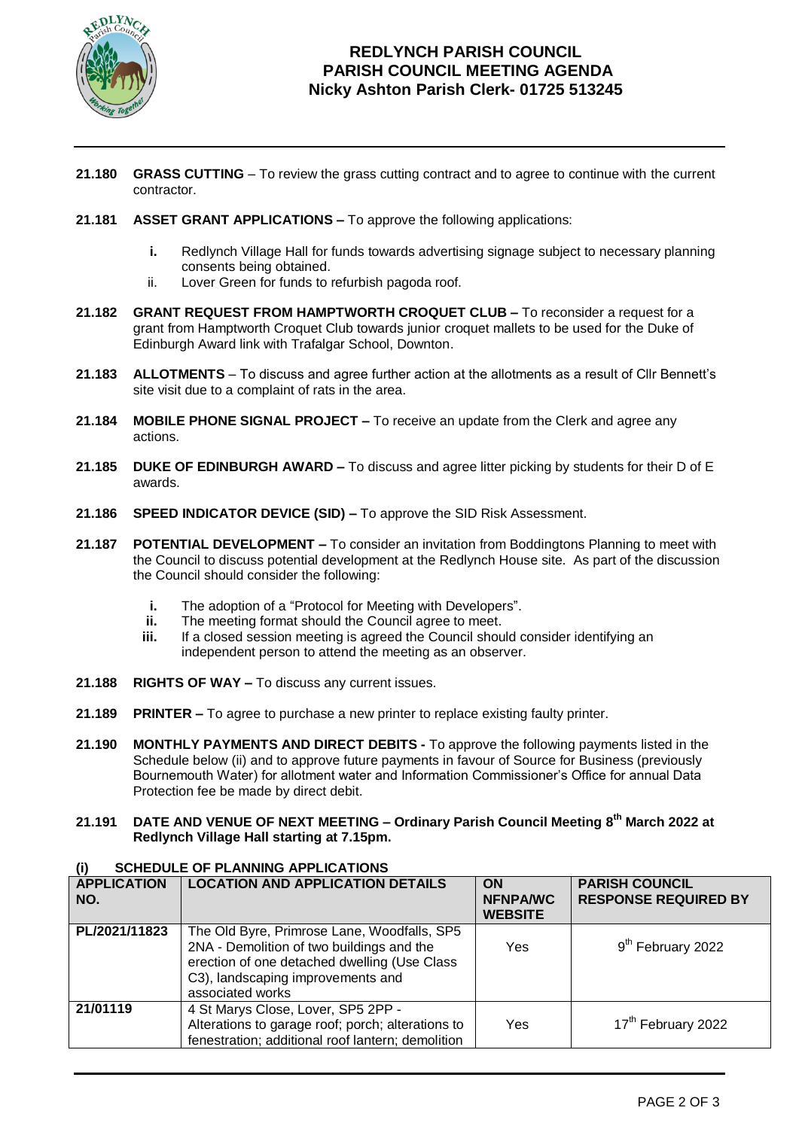

# **REDLYNCH PARISH COUNCIL PARISH COUNCIL MEETING AGENDA Nicky Ashton Parish Clerk- 01725 513245**

- **21.180 GRASS CUTTING** To review the grass cutting contract and to agree to continue with the current contractor.
- **21.181 ASSET GRANT APPLICATIONS –** To approve the following applications:
	- **i.** Redlynch Village Hall for funds towards advertising signage subject to necessary planning consents being obtained.
	- ii. Lover Green for funds to refurbish pagoda roof.
- **21.182 GRANT REQUEST FROM HAMPTWORTH CROQUET CLUB –** To reconsider a request for a grant from Hamptworth Croquet Club towards junior croquet mallets to be used for the Duke of Edinburgh Award link with Trafalgar School, Downton.
- **21.183 ALLOTMENTS** To discuss and agree further action at the allotments as a result of Cllr Bennett's site visit due to a complaint of rats in the area.
- **21.184 MOBILE PHONE SIGNAL PROJECT –** To receive an update from the Clerk and agree any actions.
- **21.185 DUKE OF EDINBURGH AWARD –** To discuss and agree litter picking by students for their D of E awards.
- **21.186 SPEED INDICATOR DEVICE (SID) –** To approve the SID Risk Assessment.
- **21.187 POTENTIAL DEVELOPMENT –** To consider an invitation from Boddingtons Planning to meet with the Council to discuss potential development at the Redlynch House site. As part of the discussion the Council should consider the following:
	- **i.** The adoption of a "Protocol for Meeting with Developers".
	- **ii.** The meeting format should the Council agree to meet.
	- **iii.** If a closed session meeting is agreed the Council should consider identifying an independent person to attend the meeting as an observer.
- **21.188 RIGHTS OF WAY –** To discuss any current issues.
- **21.189 PRINTER –** To agree to purchase a new printer to replace existing faulty printer.
- **21.190 MONTHLY PAYMENTS AND DIRECT DEBITS -** To approve the following payments listed in the Schedule below (ii) and to approve future payments in favour of Source for Business (previously Bournemouth Water) for allotment water and Information Commissioner's Office for annual Data Protection fee be made by direct debit.
- **21.191 DATE AND VENUE OF NEXT MEETING – Ordinary Parish Council Meeting 8 th March 2022 at Redlynch Village Hall starting at 7.15pm.**

### **(i) SCHEDULE OF PLANNING APPLICATIONS**

| <b>APPLICATION</b><br>NO. | <b>LOCATION AND APPLICATION DETAILS</b>                                                                                                                                                           | <b>ON</b><br><b>NFNPA/WC</b><br><b>WEBSITE</b> | <b>PARISH COUNCIL</b><br><b>RESPONSE REQUIRED BY</b> |
|---------------------------|---------------------------------------------------------------------------------------------------------------------------------------------------------------------------------------------------|------------------------------------------------|------------------------------------------------------|
| PL/2021/11823             | The Old Byre, Primrose Lane, Woodfalls, SP5<br>2NA - Demolition of two buildings and the<br>erection of one detached dwelling (Use Class<br>C3), landscaping improvements and<br>associated works | Yes                                            | 9 <sup>th</sup> February 2022                        |
| 21/01119                  | 4 St Marys Close, Lover, SP5 2PP -<br>Alterations to garage roof; porch; alterations to<br>fenestration; additional roof lantern; demolition                                                      | Yes                                            | 17 <sup>th</sup> February 2022                       |